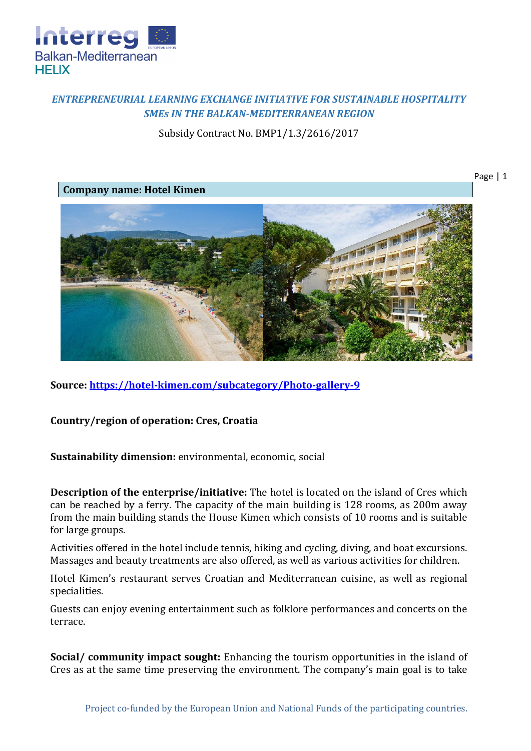

## *ENTREPRENEURIAL LEARNING EXCHANGE INITIATIVE FOR SUSTAINABLE HOSPITALITY SMEs IN THE BALKAN-MEDITERRANEAN REGION*

Subsidy Contract No. BMP1/1.3/2616/2017

Page | 1



**Source:<https://hotel-kimen.com/subcategory/Photo-gallery-9>**

**Country/region of operation: Cres, Croatia**

**Sustainability dimension:** environmental, economic, social

**Description of the enterprise/initiative:** The hotel is located on the island of Cres which can be reached by a ferry. The capacity of the main building is 128 rooms, as 200m away from the main building stands the House Kimen which consists of 10 rooms and is suitable for large groups.

Activities offered in the hotel include tennis, hiking and cycling, diving, and boat excursions. Massages and beauty treatments are also offered, as well as various activities for children.

Hotel Kimen's restaurant serves Croatian and Mediterranean cuisine, as well as regional specialities.

Guests can enjoy evening entertainment such as folklore performances and concerts on the terrace.

**Social/ community impact sought:** Enhancing the tourism opportunities in the island of Cres as at the same time preserving the environment. The company's main goal is to take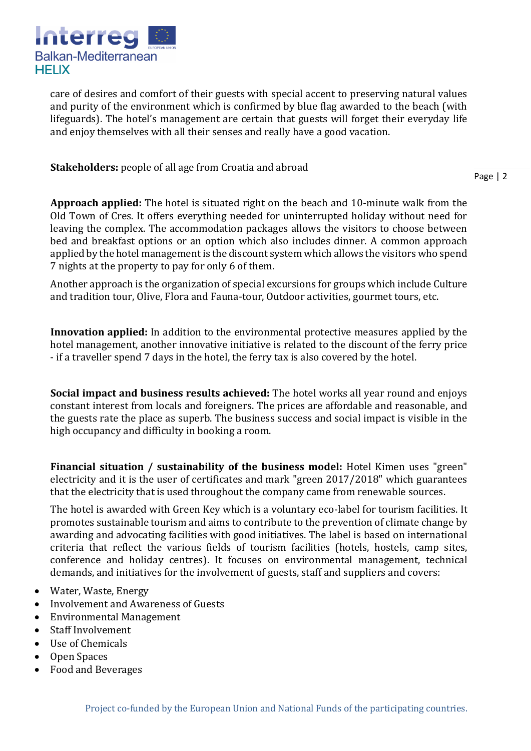

care of desires and comfort of their guests with special accent to preserving natural values and purity of the environment which is confirmed by blue flag awarded to the beach (with lifeguards). The hotel's management are certain that guests will forget their everyday life and enjoy themselves with all their senses and really have a good vacation.

**Stakeholders:** people of all age from Croatia and abroad

Page | 2

**Approach applied:** The hotel is situated right on the beach and 10-minute walk from the Old Town of Cres. It offers everything needed for uninterrupted holiday without need for leaving the complex. The accommodation packages allows the visitors to choose between bed and breakfast options or an option which also includes dinner. A common approach applied by the hotel management is the discount system which allows the visitors who spend 7 nights at the property to pay for only 6 of them.

Another approach is the organization of special excursions for groups which include Culture and tradition tour, Olive, Flora and Fauna-tour, Outdoor activities, gourmet tours, etc.

**Innovation applied:** In addition to the environmental protective measures applied by the hotel management, another innovative initiative is related to the discount of the ferry price - if a traveller spend 7 days in the hotel, the ferry tax is also covered by the hotel.

**Social impact and business results achieved:** The hotel works all year round and enjoys constant interest from locals and foreigners. The prices are affordable and reasonable, and the guests rate the place as superb. The business success and social impact is visible in the high occupancy and difficulty in booking a room.

**Financial situation / sustainability of the business model:** Hotel Kimen uses "green" electricity and it is the user of certificates and mark "green 2017/2018" which guarantees that the electricity that is used throughout the company came from renewable sources.

The hotel is awarded with Green Key which is a voluntary eco-label for tourism facilities. It promotes sustainable tourism and aims to contribute to the prevention of climate change by awarding and advocating facilities with good initiatives. The label is based on international criteria that reflect the various fields of tourism facilities (hotels, hostels, camp sites, conference and holiday centres). It focuses on environmental management, technical demands, and initiatives for the involvement of guests, staff and suppliers and covers:

- Water, Waste, Energy
- Involvement and Awareness of Guests
- Environmental Management
- Staff Involvement
- Use of Chemicals
- Open Spaces
- Food and Beverages